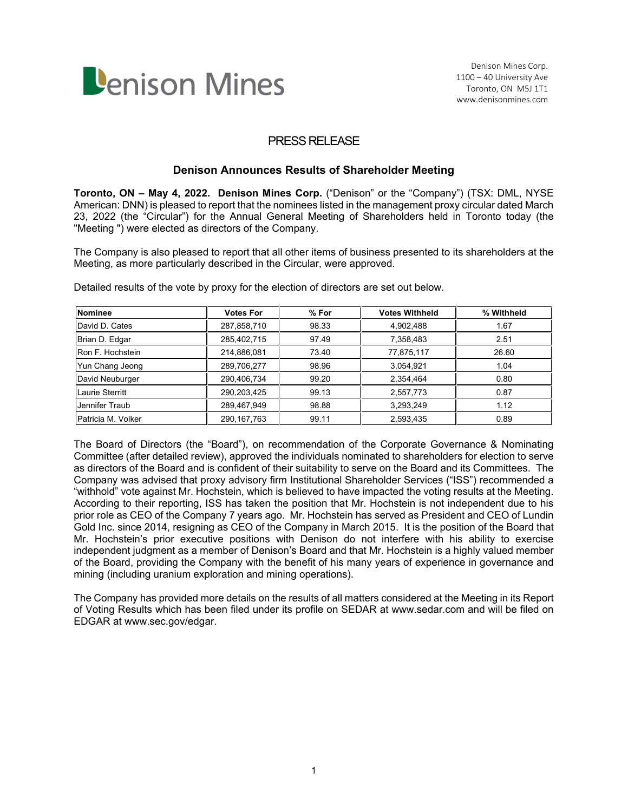

# PRESS RELEASE

## **Denison Announces Results of Shareholder Meeting**

**Toronto, ON – May 4, 2022. Denison Mines Corp.** ("Denison" or the "Company") (TSX: DML, NYSE American: DNN) is pleased to report that the nominees listed in the management proxy circular dated March 23, 2022 (the "Circular") for the Annual General Meeting of Shareholders held in Toronto today (the "Meeting ") were elected as directors of the Company.

The Company is also pleased to report that all other items of business presented to its shareholders at the Meeting, as more particularly described in the Circular, were approved.

| <b>Nominee</b>         | <b>Votes For</b> | $%$ For | <b>Votes Withheld</b> | % Withheld |
|------------------------|------------------|---------|-----------------------|------------|
| David D. Cates         | 287,858,710      | 98.33   | 4,902,488             | 1.67       |
| Brian D. Edgar         | 285,402,715      | 97.49   | 7,358,483             | 2.51       |
| Ron F. Hochstein       | 214,886,081      | 73.40   | 77,875,117            | 26.60      |
| Yun Chang Jeong        | 289,706,277      | 98.96   | 3,054,921             | 1.04       |
| David Neuburger        | 290,406,734      | 99.20   | 2,354,464             | 0.80       |
| <b>Laurie Sterritt</b> | 290,203,425      | 99.13   | 2,557,773             | 0.87       |
| Jennifer Traub         | 289,467,949      | 98.88   | 3,293,249             | 1.12       |
| Patricia M. Volker     | 290, 167, 763    | 99.11   | 2,593,435             | 0.89       |

Detailed results of the vote by proxy for the election of directors are set out below.

The Board of Directors (the "Board"), on recommendation of the Corporate Governance & Nominating Committee (after detailed review), approved the individuals nominated to shareholders for election to serve as directors of the Board and is confident of their suitability to serve on the Board and its Committees. The Company was advised that proxy advisory firm Institutional Shareholder Services ("ISS") recommended a "withhold" vote against Mr. Hochstein, which is believed to have impacted the voting results at the Meeting. According to their reporting, ISS has taken the position that Mr. Hochstein is not independent due to his prior role as CEO of the Company 7 years ago. Mr. Hochstein has served as President and CEO of Lundin Gold Inc. since 2014, resigning as CEO of the Company in March 2015. It is the position of the Board that Mr. Hochstein's prior executive positions with Denison do not interfere with his ability to exercise independent judgment as a member of Denison's Board and that Mr. Hochstein is a highly valued member of the Board, providing the Company with the benefit of his many years of experience in governance and mining (including uranium exploration and mining operations).

The Company has provided more details on the results of all matters considered at the Meeting in its Report of Voting Results which has been filed under its profile on SEDAR at www.sedar.com and will be filed on EDGAR at www.sec.gov/edgar.